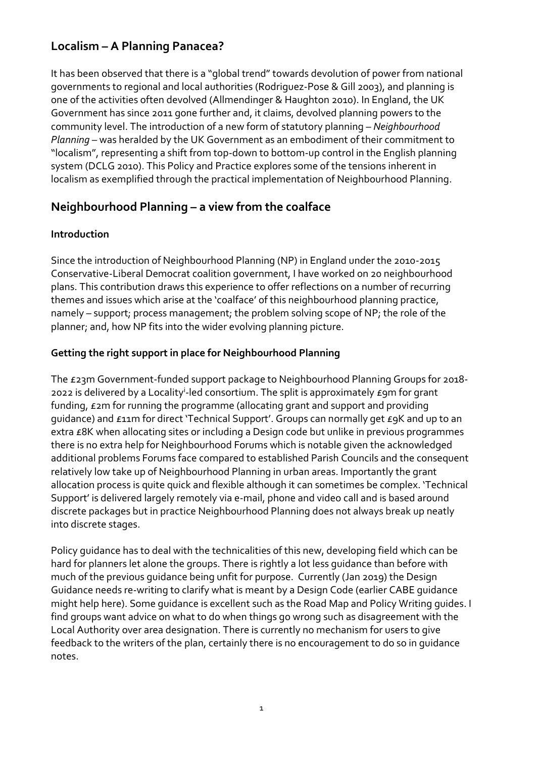## **Localism – A Planning Panacea?**

It has been observed that there is a "global trend" towards devolution of power from national governments to regional and local authorities (Rodriguez-Pose & Gill 2003), and planning is one of the activities often devolved (Allmendinger & Haughton 2010). In England, the UK Government has since 2011 gone further and, it claims, devolved planning powers to the community level. The introduction of a new form of statutory planning – *Neighbourhood Planning* – was heralded by the UK Government as an embodiment of their commitment to "localism", representing a shift from top-down to bottom-up control in the English planning system (DCLG 2010). This Policy and Practice explores some of the tensions inherent in localism as exemplified through the practical implementation of Neighbourhood Planning.

### **Neighbourhood Planning – a view from the coalface**

#### **Introduction**

Since the introduction of Neighbourhood Planning (NP) in England under the 2010-2015 Conservative-Liberal Democrat coalition government, I have worked on 20 neighbourhood plans. This contribution draws this experience to offer reflections on a number of recurring themes and issues which arise at the 'coalface' of this neighbourhood planning practice, namely – support; process management; the problem solving scope of NP; the role of the planner; and, how NP fits into the wider evolving planning picture.

### **Getting the right support in place for Neighbourhood Planning**

The £23m Government-funded support package to Neighbourhood Planning Groups for 2018- 2022 is delivered by a Locality<sup>i</sup>-led consortium. The split is approximately £9m for grant funding, £2m for running the programme (allocating grant and support and providing guidance) and £11m for direct 'Technical Support'. Groups can normally get £9K and up to an extra £8K when allocating sites or including a Design code but unlike in previous programmes there is no extra help for Neighbourhood Forums which is notable given the acknowledged additional problems Forums face compared to established Parish Councils and the consequent relatively low take up of Neighbourhood Planning in urban areas. Importantly the grant allocation process is quite quick and flexible although it can sometimes be complex. 'Technical Support' is delivered largely remotely via e-mail, phone and video call and is based around discrete packages but in practice Neighbourhood Planning does not always break up neatly into discrete stages.

Policy guidance has to deal with the technicalities of this new, developing field which can be hard for planners let alone the groups. There is rightly a lot less guidance than before with much of the previous guidance being unfit for purpose. Currently (Jan 2019) the Design Guidance needs re-writing to clarify what is meant by a Design Code (earlier CABE guidance might help here). Some guidance is excellent such as the Road Map and Policy Writing guides. I find groups want advice on what to do when things go wrong such as disagreement with the Local Authority over area designation. There is currently no mechanism for users to give feedback to the writers of the plan, certainly there is no encouragement to do so in guidance notes.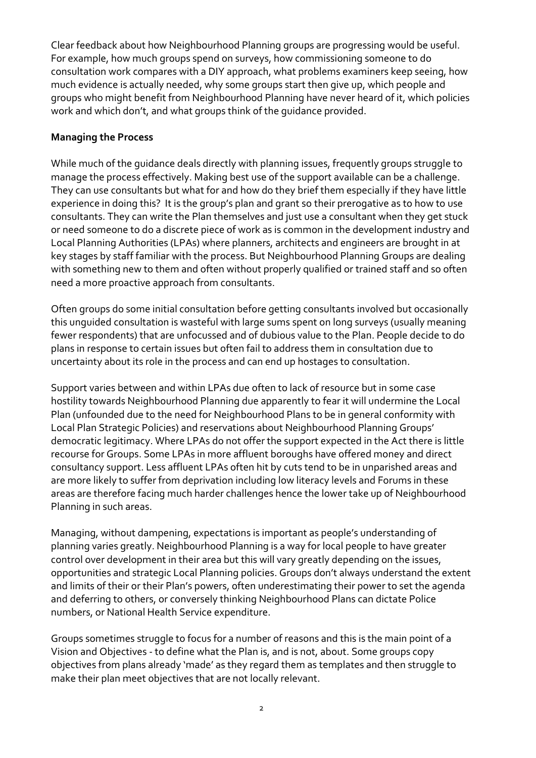Clear feedback about how Neighbourhood Planning groups are progressing would be useful. For example, how much groups spend on surveys, how commissioning someone to do consultation work compares with a DIY approach, what problems examiners keep seeing, how much evidence is actually needed, why some groups start then give up, which people and groups who might benefit from Neighbourhood Planning have never heard of it, which policies work and which don't, and what groups think of the guidance provided.

#### **Managing the Process**

While much of the guidance deals directly with planning issues, frequently groups struggle to manage the process effectively. Making best use of the support available can be a challenge. They can use consultants but what for and how do they brief them especially if they have little experience in doing this? It is the group's plan and grant so their prerogative as to how to use consultants. They can write the Plan themselves and just use a consultant when they get stuck or need someone to do a discrete piece of work as is common in the development industry and Local Planning Authorities (LPAs) where planners, architects and engineers are brought in at key stages by staff familiar with the process. But Neighbourhood Planning Groups are dealing with something new to them and often without properly qualified or trained staff and so often need a more proactive approach from consultants.

Often groups do some initial consultation before getting consultants involved but occasionally this unguided consultation is wasteful with large sums spent on long surveys (usually meaning fewer respondents) that are unfocussed and of dubious value to the Plan. People decide to do plans in response to certain issues but often fail to address them in consultation due to uncertainty about its role in the process and can end up hostages to consultation.

Support varies between and within LPAs due often to lack of resource but in some case hostility towards Neighbourhood Planning due apparently to fear it will undermine the Local Plan (unfounded due to the need for Neighbourhood Plans to be in general conformity with Local Plan Strategic Policies) and reservations about Neighbourhood Planning Groups' democratic legitimacy. Where LPAs do not offer the support expected in the Act there is little recourse for Groups. Some LPAs in more affluent boroughs have offered money and direct consultancy support. Less affluent LPAs often hit by cuts tend to be in unparished areas and are more likely to suffer from deprivation including low literacy levels and Forums in these areas are therefore facing much harder challenges hence the lower take up of Neighbourhood Planning in such areas.

Managing, without dampening, expectations is important as people's understanding of planning varies greatly. Neighbourhood Planning is a way for local people to have greater control over development in their area but this will vary greatly depending on the issues, opportunities and strategic Local Planning policies. Groups don't always understand the extent and limits of their or their Plan's powers, often underestimating their power to set the agenda and deferring to others, or conversely thinking Neighbourhood Plans can dictate Police numbers, or National Health Service expenditure.

Groups sometimes struggle to focus for a number of reasons and this is the main point of a Vision and Objectives - to define what the Plan is, and is not, about. Some groups copy objectives from plans already 'made' as they regard them as templates and then struggle to make their plan meet objectives that are not locally relevant.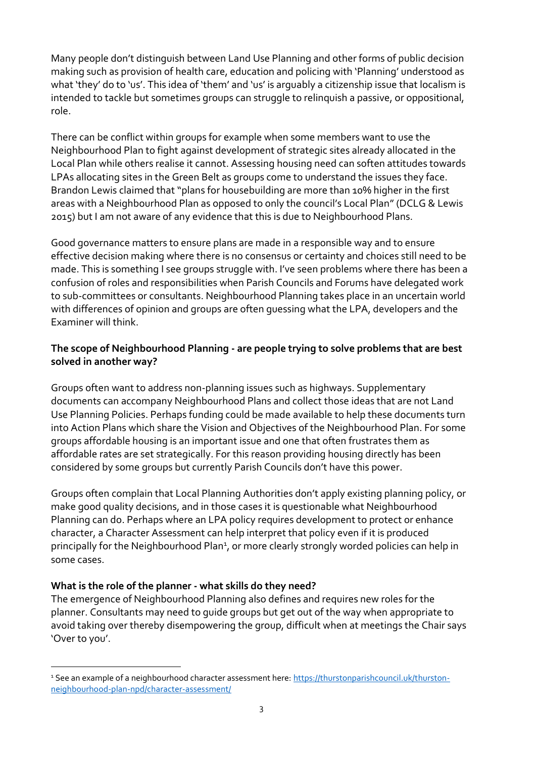Many people don't distinguish between Land Use Planning and other forms of public decision making such as provision of health care, education and policing with 'Planning' understood as what 'they' do to 'us'. This idea of 'them' and 'us' is arguably a citizenship issue that localism is intended to tackle but sometimes groups can struggle to relinquish a passive, or oppositional, role.

There can be conflict within groups for example when some members want to use the Neighbourhood Plan to fight against development of strategic sites already allocated in the Local Plan while others realise it cannot. Assessing housing need can soften attitudes towards LPAs allocating sites in the Green Belt as groups come to understand the issues they face. Brandon Lewis claimed that "plans for housebuilding are more than 10% higher in the first areas with a Neighbourhood Plan as opposed to only the council's Local Plan" (DCLG & Lewis 2015) but I am not aware of any evidence that this is due to Neighbourhood Plans.

Good governance matters to ensure plans are made in a responsible way and to ensure effective decision making where there is no consensus or certainty and choices still need to be made. This is something I see groups struggle with. I've seen problems where there has been a confusion of roles and responsibilities when Parish Councils and Forums have delegated work to sub-committees or consultants. Neighbourhood Planning takes place in an uncertain world with differences of opinion and groups are often guessing what the LPA, developers and the Examiner will think.

#### **The scope of Neighbourhood Planning - are people trying to solve problems that are best solved in another way?**

Groups often want to address non-planning issues such as highways. Supplementary documents can accompany Neighbourhood Plans and collect those ideas that are not Land Use Planning Policies. Perhaps funding could be made available to help these documents turn into Action Plans which share the Vision and Objectives of the Neighbourhood Plan. For some groups affordable housing is an important issue and one that often frustrates them as affordable rates are set strategically. For this reason providing housing directly has been considered by some groups but currently Parish Councils don't have this power.

Groups often complain that Local Planning Authorities don't apply existing planning policy, or make good quality decisions, and in those cases it is questionable what Neighbourhood Planning can do. Perhaps where an LPA policy requires development to protect or enhance character, a Character Assessment can help interpret that policy even if it is produced principally for the Neighbourhood Plan<sup>1</sup>, or more clearly strongly worded policies can help in some cases.

#### **What is the role of the planner - what skills do they need?**

-

The emergence of Neighbourhood Planning also defines and requires new roles for the planner. Consultants may need to guide groups but get out of the way when appropriate to avoid taking over thereby disempowering the group, difficult when at meetings the Chair says 'Over to you'.

<sup>&</sup>lt;sup>1</sup> See an example of a neighbourhood character assessment here: [https://thurstonparishcouncil.uk/thurston](https://thurstonparishcouncil.uk/thurston-neighbourhood-plan-npd/character-assessment/)[neighbourhood-plan-npd/character-assessment/](https://thurstonparishcouncil.uk/thurston-neighbourhood-plan-npd/character-assessment/)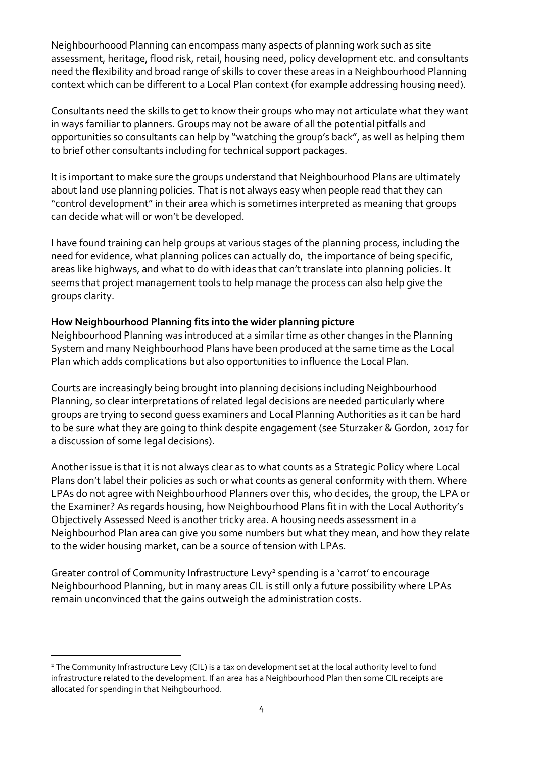Neighbourhoood Planning can encompass many aspects of planning work such as site assessment, heritage, flood risk, retail, housing need, policy development etc. and consultants need the flexibility and broad range of skills to cover these areas in a Neighbourhood Planning context which can be different to a Local Plan context (for example addressing housing need).

Consultants need the skills to get to know their groups who may not articulate what they want in ways familiar to planners. Groups may not be aware of all the potential pitfalls and opportunities so consultants can help by "watching the group's back", as well as helping them to brief other consultants including for technical support packages.

It is important to make sure the groups understand that Neighbourhood Plans are ultimately about land use planning policies. That is not always easy when people read that they can "control development" in their area which is sometimes interpreted as meaning that groups can decide what will or won't be developed.

I have found training can help groups at various stages of the planning process, including the need for evidence, what planning polices can actually do, the importance of being specific, areas like highways, and what to do with ideas that can't translate into planning policies. It seems that project management tools to help manage the process can also help give the groups clarity.

#### **How Neighbourhood Planning fits into the wider planning picture**

Neighbourhood Planning was introduced at a similar time as other changes in the Planning System and many Neighbourhood Plans have been produced at the same time as the Local Plan which adds complications but also opportunities to influence the Local Plan.

Courts are increasingly being brought into planning decisions including Neighbourhood Planning, so clear interpretations of related legal decisions are needed particularly where groups are trying to second guess examiners and Local Planning Authorities as it can be hard to be sure what they are going to think despite engagement (see Sturzaker & Gordon, 2017 for a discussion of some legal decisions).

Another issue is that it is not always clear as to what counts as a Strategic Policy where Local Plans don't label their policies as such or what counts as general conformity with them. Where LPAs do not agree with Neighbourhood Planners over this, who decides, the group, the LPA or the Examiner? As regards housing, how Neighbourhood Plans fit in with the Local Authority's Objectively Assessed Need is another tricky area. A housing needs assessment in a Neighbourhod Plan area can give you some numbers but what they mean, and how they relate to the wider housing market, can be a source of tension with LPAs.

Greater control of Community Infrastructure Levy<sup>2</sup> spending is a 'carrot' to encourage Neighbourhood Planning, but in many areas CIL is still only a future possibility where LPAs remain unconvinced that the gains outweigh the administration costs.

-

<sup>&</sup>lt;sup>2</sup> The Community Infrastructure Levy (CIL) is a tax on development set at the local authority level to fund infrastructure related to the development. If an area has a Neighbourhood Plan then some CIL receipts are allocated for spending in that Neihgbourhood.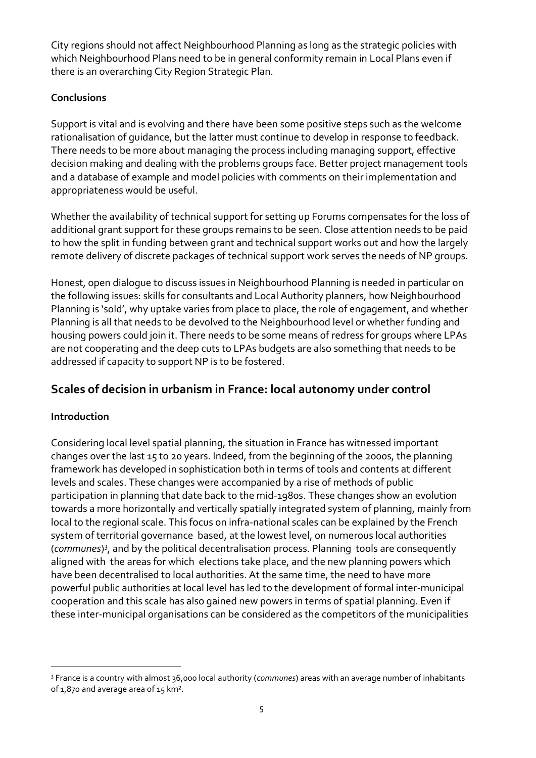City regions should not affect Neighbourhood Planning as long as the strategic policies with which Neighbourhood Plans need to be in general conformity remain in Local Plans even if there is an overarching City Region Strategic Plan.

### **Conclusions**

Support is vital and is evolving and there have been some positive steps such as the welcome rationalisation of guidance, but the latter must continue to develop in response to feedback. There needs to be more about managing the process including managing support, effective decision making and dealing with the problems groups face. Better project management tools and a database of example and model policies with comments on their implementation and appropriateness would be useful.

Whether the availability of technical support for setting up Forums compensates for the loss of additional grant support for these groups remains to be seen. Close attention needs to be paid to how the split in funding between grant and technical support works out and how the largely remote delivery of discrete packages of technical support work serves the needs of NP groups.

Honest, open dialogue to discuss issues in Neighbourhood Planning is needed in particular on the following issues: skills for consultants and Local Authority planners, how Neighbourhood Planning is 'sold', why uptake varies from place to place, the role of engagement, and whether Planning is all that needs to be devolved to the Neighbourhood level or whether funding and housing powers could join it. There needs to be some means of redress for groups where LPAs are not cooperating and the deep cuts to LPAs budgets are also something that needs to be addressed if capacity to support NP is to be fostered.

# **Scales of decision in urbanism in France: local autonomy under control**

### **Introduction**

-

Considering local level spatial planning, the situation in France has witnessed important changes over the last 15 to 20 years. Indeed, from the beginning of the 2000s, the planning framework has developed in sophistication both in terms of tools and contents at different levels and scales. These changes were accompanied by a rise of methods of public participation in planning that date back to the mid-1980s. These changes show an evolution towards a more horizontally and vertically spatially integrated system of planning, mainly from local to the regional scale. This focus on infra-national scales can be explained by the French system of territorial governance based, at the lowest level, on numerous local authorities (*communes*) 3 , and by the political decentralisation process. Planning tools are consequently aligned with the areas for which elections take place, and the new planning powers which have been decentralised to local authorities. At the same time, the need to have more powerful public authorities at local level has led to the development of formal inter-municipal cooperation and this scale has also gained new powers in terms of spatial planning. Even if these inter-municipal organisations can be considered as the competitors of the municipalities

<sup>3</sup> France is a country with almost 36,000 local authority (*communes*) areas with an average number of inhabitants of 1,870 and average area of 15 km².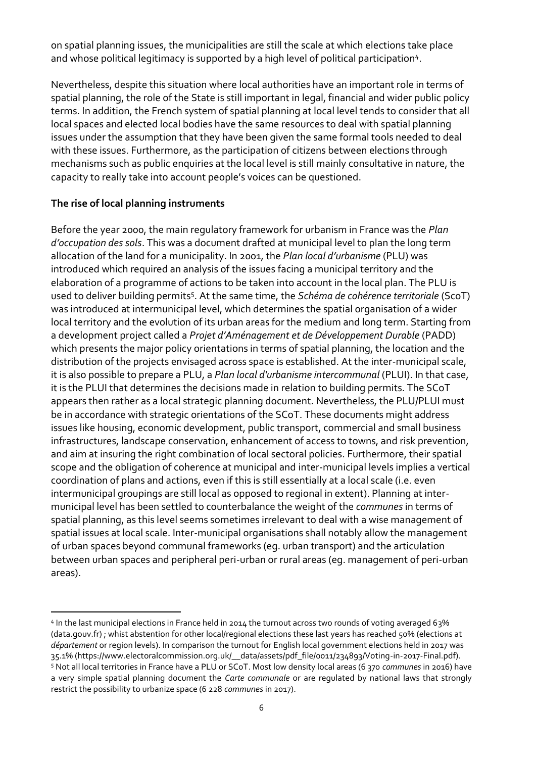on spatial planning issues, the municipalities are still the scale at which elections take place and whose political legitimacy is supported by a high level of political participation<sup>4</sup>.

Nevertheless, despite this situation where local authorities have an important role in terms of spatial planning, the role of the State is still important in legal, financial and wider public policy terms. In addition, the French system of spatial planning at local level tends to consider that all local spaces and elected local bodies have the same resources to deal with spatial planning issues under the assumption that they have been given the same formal tools needed to deal with these issues. Furthermore, as the participation of citizens between elections through mechanisms such as public enquiries at the local level is still mainly consultative in nature, the capacity to really take into account people's voices can be questioned.

#### **The rise of local planning instruments**

Before the year 2000, the main regulatory framework for urbanism in France was the *Plan d'occupation des sols*. This was a document drafted at municipal level to plan the long term allocation of the land for a municipality. In 2001, the *Plan local d'urbanisme* (PLU) was introduced which required an analysis of the issues facing a municipal territory and the elaboration of a programme of actions to be taken into account in the local plan. The PLU is used to deliver building permits<sup>5</sup>. At the same time, the *Schéma de cohérence territoriale* (ScoT) was introduced at intermunicipal level, which determines the spatial organisation of a wider local territory and the evolution of its urban areas for the medium and long term. Starting from a development project called a *Projet d'Aménagement et de Développement Durable* (PADD) which presents the major policy orientations in terms of spatial planning, the location and the distribution of the projects envisaged across space is established. At the inter-municipal scale, it is also possible to prepare a PLU, a *Plan local d'urbanisme intercommunal* (PLUI). In that case, it is the PLUI that determines the decisions made in relation to building permits. The SCoT appears then rather as a local strategic planning document. Nevertheless, the PLU/PLUI must be in accordance with strategic orientations of the SCoT. These documents might address issues like housing, economic development, public transport, commercial and small business infrastructures, landscape conservation, enhancement of access to towns, and risk prevention, and aim at insuring the right combination of local sectoral policies. Furthermore, their spatial scope and the obligation of coherence at municipal and inter-municipal levels implies a vertical coordination of plans and actions, even if this is still essentially at a local scale (i.e. even intermunicipal groupings are still local as opposed to regional in extent). Planning at intermunicipal level has been settled to counterbalance the weight of the *communes* in terms of spatial planning, as this level seems sometimes irrelevant to deal with a wise management of spatial issues at local scale. Inter-municipal organisations shall notably allow the management of urban spaces beyond communal frameworks (eg. urban transport) and the articulation between urban spaces and peripheral peri-urban or rural areas (eg. management of peri-urban areas).

-

<sup>4</sup> In the last municipal elections in France held in 2014 the turnout across two rounds of voting averaged 63% (data.gouv.fr) ; whist abstention for other local/regional elections these last years has reached 50% (elections at *département* or region levels). In comparison the turnout for English local government elections held in 2017 was 35.1% (https://www.electoralcommission.org.uk/\_\_data/assets/pdf\_file/0011/234893/Voting-in-2017-Final.pdf). <sup>5</sup> Not all local territories in France have a PLU or SCoT. Most low density local areas (6 370 *communes* in 2016) have a very simple spatial planning document the *Carte communale* or are regulated by national laws that strongly

restrict the possibility to urbanize space (6 228 *communes* in 2017).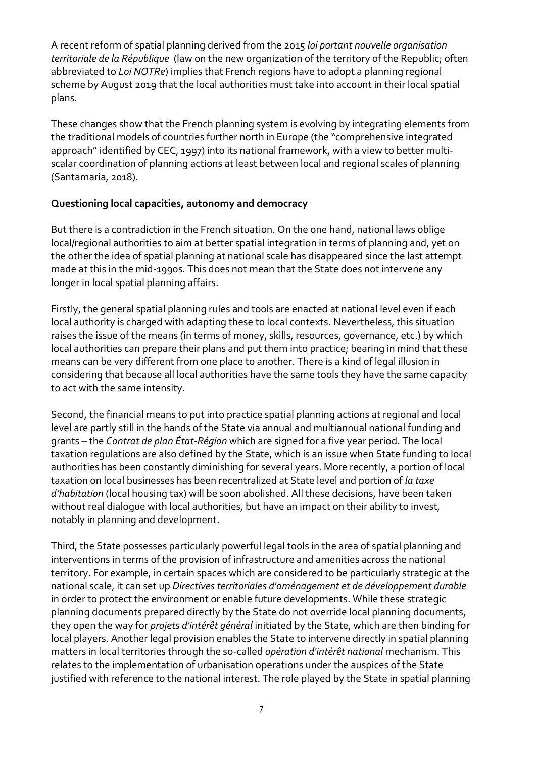A recent reform of spatial planning derived from the 2015 *loi portant nouvelle organisation territoriale de la République* (law on the new organization of the territory of the Republic; often abbreviated to *Loi NOTRe*) implies that French regions have to adopt a planning regional scheme by August 2019 that the local authorities must take into account in their local spatial plans.

These changes show that the French planning system is evolving by integrating elements from the traditional models of countries further north in Europe (the "comprehensive integrated approach" identified by CEC, 1997) into its national framework, with a view to better multiscalar coordination of planning actions at least between local and regional scales of planning (Santamaria, 2018).

#### **Questioning local capacities, autonomy and democracy**

But there is a contradiction in the French situation. On the one hand, national laws oblige local/regional authorities to aim at better spatial integration in terms of planning and, yet on the other the idea of spatial planning at national scale has disappeared since the last attempt made at this in the mid-1990s. This does not mean that the State does not intervene any longer in local spatial planning affairs.

Firstly, the general spatial planning rules and tools are enacted at national level even if each local authority is charged with adapting these to local contexts. Nevertheless, this situation raises the issue of the means (in terms of money, skills, resources, governance, etc.) by which local authorities can prepare their plans and put them into practice; bearing in mind that these means can be very different from one place to another. There is a kind of legal illusion in considering that because all local authorities have the same tools they have the same capacity to act with the same intensity.

Second, the financial means to put into practice spatial planning actions at regional and local level are partly still in the hands of the State via annual and multiannual national funding and grants – the *Contrat de plan État-Région* which are signed for a five year period. The local taxation regulations are also defined by the State, which is an issue when State funding to local authorities has been constantly diminishing for several years. More recently, a portion of local taxation on local businesses has been recentralized at State level and portion of *la taxe d'habitation* (local housing tax) will be soon abolished. All these decisions, have been taken without real dialogue with local authorities, but have an impact on their ability to invest, notably in planning and development.

Third, the State possesses particularly powerful legal tools in the area of spatial planning and interventions in terms of the provision of infrastructure and amenities across the national territory. For example, in certain spaces which are considered to be particularly strategic at the national scale, it can set up *Directives territoriales d'aménagement et de développement durable* in order to protect the environment or enable future developments. While these strategic planning documents prepared directly by the State do not override local planning documents, they open the way for *projets d'intérêt général* initiated by the State, which are then binding for local players. Another legal provision enables the State to intervene directly in spatial planning matters in local territories through the so-called *opération d'intérêt national* mechanism. This relates to the implementation of urbanisation operations under the auspices of the State justified with reference to the national interest. The role played by the State in spatial planning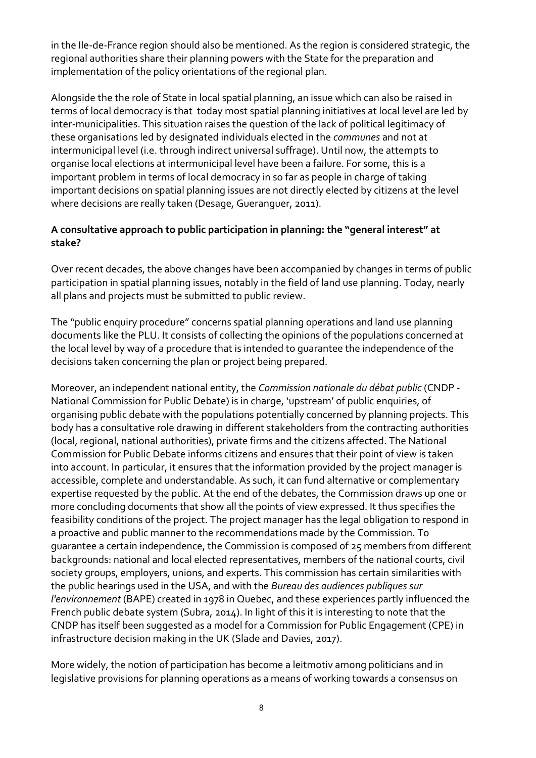in the Ile-de-France region should also be mentioned. As the region is considered strategic, the regional authorities share their planning powers with the State for the preparation and implementation of the policy orientations of the regional plan.

Alongside the the role of State in local spatial planning, an issue which can also be raised in terms of local democracy is that today most spatial planning initiatives at local level are led by inter-municipalities. This situation raises the question of the lack of political legitimacy of these organisations led by designated individuals elected in the *communes* and not at intermunicipal level (i.e. through indirect universal suffrage). Until now, the attempts to organise local elections at intermunicipal level have been a failure. For some, this is a important problem in terms of local democracy in so far as people in charge of taking important decisions on spatial planning issues are not directly elected by citizens at the level where decisions are really taken (Desage, Gueranguer, 2011).

#### **A consultative approach to public participation in planning: the "general interest" at stake?**

Over recent decades, the above changes have been accompanied by changes in terms of public participation in spatial planning issues, notably in the field of land use planning. Today, nearly all plans and projects must be submitted to public review.

The "public enquiry procedure" concerns spatial planning operations and land use planning documents like the PLU. It consists of collecting the opinions of the populations concerned at the local level by way of a procedure that is intended to guarantee the independence of the decisions taken concerning the plan or project being prepared.

Moreover, an independent national entity, the *Commission nationale du débat public* (CNDP - National Commission for Public Debate) is in charge, 'upstream' of public enquiries, of organising public debate with the populations potentially concerned by planning projects. This body has a consultative role drawing in different stakeholders from the contracting authorities (local, regional, national authorities), private firms and the citizens affected. The National Commission for Public Debate informs citizens and ensures that their point of view is taken into account. In particular, it ensures that the information provided by the project manager is accessible, complete and understandable. As such, it can fund alternative or complementary expertise requested by the public. At the end of the debates, the Commission draws up one or more concluding documents that show all the points of view expressed. It thus specifies the feasibility conditions of the project. The project manager has the legal obligation to respond in a proactive and public manner to the recommendations made by the Commission. To guarantee a certain independence, the Commission is composed of 25 members from different backgrounds: national and local elected representatives, members of the national courts, civil society groups, employers, unions, and experts. This commission has certain similarities with the public hearings used in the USA, and with the *Bureau des audiences publiques sur l'environnement* (BAPE) created in 1978 in Quebec, and these experiences partly influenced the French public debate system (Subra, 2014). In light of this it is interesting to note that the CNDP has itself been suggested as a model for a Commission for Public Engagement (CPE) in infrastructure decision making in the UK (Slade and Davies, 2017).

More widely, the notion of participation has become a leitmotiv among politicians and in legislative provisions for planning operations as a means of working towards a consensus on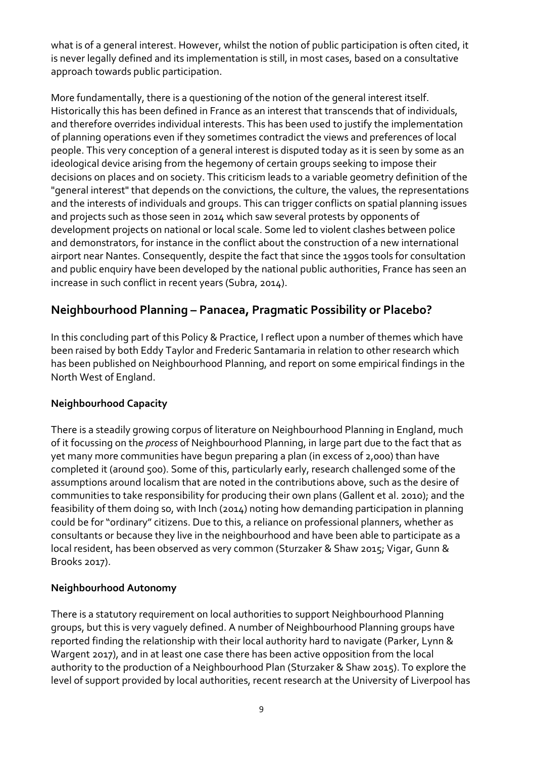what is of a general interest. However, whilst the notion of public participation is often cited, it is never legally defined and its implementation is still, in most cases, based on a consultative approach towards public participation.

More fundamentally, there is a questioning of the notion of the general interest itself. Historically this has been defined in France as an interest that transcends that of individuals, and therefore overrides individual interests. This has been used to justify the implementation of planning operations even if they sometimes contradict the views and preferences of local people. This very conception of a general interest is disputed today as it is seen by some as an ideological device arising from the hegemony of certain groups seeking to impose their decisions on places and on society. This criticism leads to a variable geometry definition of the "general interest" that depends on the convictions, the culture, the values, the representations and the interests of individuals and groups. This can trigger conflicts on spatial planning issues and projects such as those seen in 2014 which saw several protests by opponents of development projects on national or local scale. Some led to violent clashes between police and demonstrators, for instance in the conflict about the construction of a new international airport near Nantes. Consequently, despite the fact that since the 1990s tools for consultation and public enquiry have been developed by the national public authorities, France has seen an increase in such conflict in recent years (Subra, 2014).

## **Neighbourhood Planning – Panacea, Pragmatic Possibility or Placebo?**

In this concluding part of this Policy & Practice, I reflect upon a number of themes which have been raised by both Eddy Taylor and Frederic Santamaria in relation to other research which has been published on Neighbourhood Planning, and report on some empirical findings in the North West of England.

#### **Neighbourhood Capacity**

There is a steadily growing corpus of literature on Neighbourhood Planning in England, much of it focussing on the *process* of Neighbourhood Planning, in large part due to the fact that as yet many more communities have begun preparing a plan (in excess of 2,000) than have completed it (around 500). Some of this, particularly early, research challenged some of the assumptions around localism that are noted in the contributions above, such as the desire of communities to take responsibility for producing their own plans (Gallent et al. 2010); and the feasibility of them doing so, with Inch (2014) noting how demanding participation in planning could be for "ordinary" citizens. Due to this, a reliance on professional planners, whether as consultants or because they live in the neighbourhood and have been able to participate as a local resident, has been observed as very common (Sturzaker & Shaw 2015; Vigar, Gunn & Brooks 2017).

#### **Neighbourhood Autonomy**

There is a statutory requirement on local authorities to support Neighbourhood Planning groups, but this is very vaguely defined. A number of Neighbourhood Planning groups have reported finding the relationship with their local authority hard to navigate (Parker, Lynn & Wargent 2017), and in at least one case there has been active opposition from the local authority to the production of a Neighbourhood Plan (Sturzaker & Shaw 2015). To explore the level of support provided by local authorities, recent research at the University of Liverpool has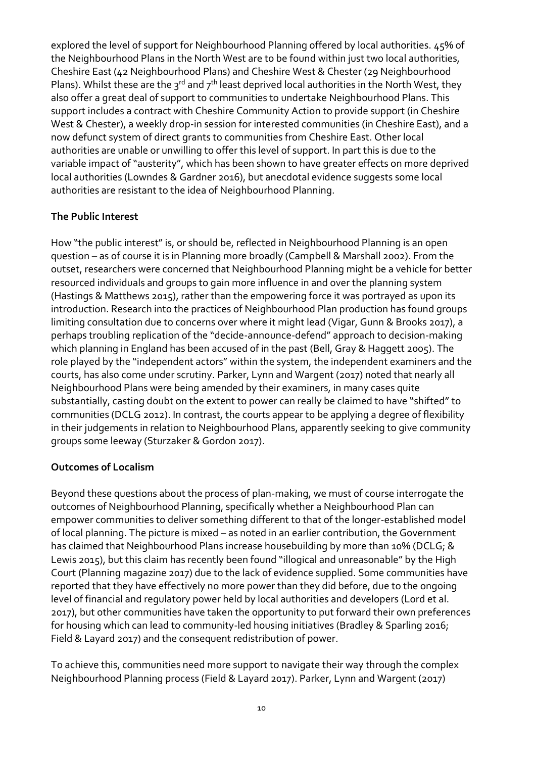explored the level of support for Neighbourhood Planning offered by local authorities. 45% of the Neighbourhood Plans in the North West are to be found within just two local authorities, Cheshire East (42 Neighbourhood Plans) and Cheshire West & Chester (29 Neighbourhood Plans). Whilst these are the  $3^{rd}$  and  $7^{th}$  least deprived local authorities in the North West, they also offer a great deal of support to communities to undertake Neighbourhood Plans. This support includes a contract with Cheshire Community Action to provide support (in Cheshire West & Chester), a weekly drop-in session for interested communities (in Cheshire East), and a now defunct system of direct grants to communities from Cheshire East. Other local authorities are unable or unwilling to offer this level of support. In part this is due to the variable impact of "austerity", which has been shown to have greater effects on more deprived local authorities (Lowndes & Gardner 2016), but anecdotal evidence suggests some local authorities are resistant to the idea of Neighbourhood Planning.

### **The Public Interest**

How "the public interest" is, or should be, reflected in Neighbourhood Planning is an open question – as of course it is in Planning more broadly (Campbell & Marshall 2002). From the outset, researchers were concerned that Neighbourhood Planning might be a vehicle for better resourced individuals and groups to gain more influence in and over the planning system (Hastings & Matthews 2015), rather than the empowering force it was portrayed as upon its introduction. Research into the practices of Neighbourhood Plan production has found groups limiting consultation due to concerns over where it might lead (Vigar, Gunn & Brooks 2017), a perhaps troubling replication of the "decide-announce-defend" approach to decision-making which planning in England has been accused of in the past (Bell, Gray & Haggett 2005). The role played by the "independent actors" within the system, the independent examiners and the courts, has also come under scrutiny. Parker, Lynn and Wargent (2017) noted that nearly all Neighbourhood Plans were being amended by their examiners, in many cases quite substantially, casting doubt on the extent to power can really be claimed to have "shifted" to communities (DCLG 2012). In contrast, the courts appear to be applying a degree of flexibility in their judgements in relation to Neighbourhood Plans, apparently seeking to give community groups some leeway (Sturzaker & Gordon 2017).

#### **Outcomes of Localism**

Beyond these questions about the process of plan-making, we must of course interrogate the outcomes of Neighbourhood Planning, specifically whether a Neighbourhood Plan can empower communities to deliver something different to that of the longer-established model of local planning. The picture is mixed – as noted in an earlier contribution, the Government has claimed that Neighbourhood Plans increase housebuilding by more than 10% (DCLG; & Lewis 2015), but this claim has recently been found "illogical and unreasonable" by the High Court (Planning magazine 2017) due to the lack of evidence supplied. Some communities have reported that they have effectively no more power than they did before, due to the ongoing level of financial and regulatory power held by local authorities and developers (Lord et al. 2017), but other communities have taken the opportunity to put forward their own preferences for housing which can lead to community-led housing initiatives (Bradley & Sparling 2016; Field & Layard 2017) and the consequent redistribution of power.

To achieve this, communities need more support to navigate their way through the complex Neighbourhood Planning process (Field & Layard 2017). Parker, Lynn and Wargent (2017)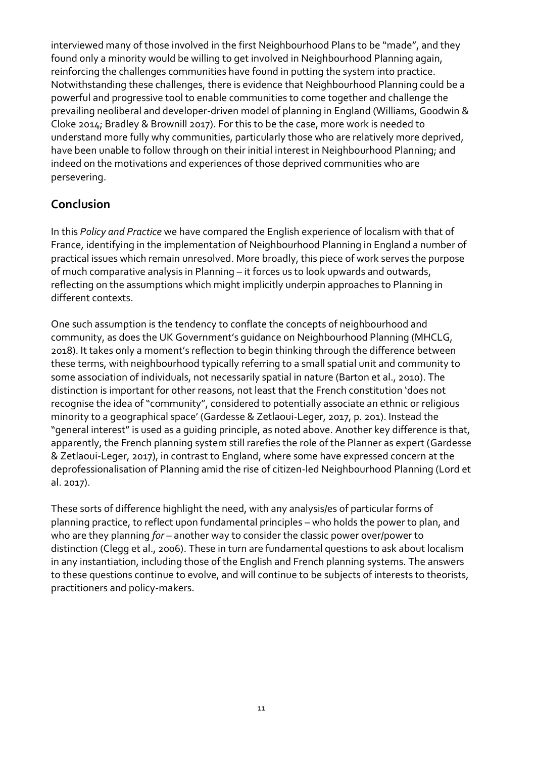interviewed many of those involved in the first Neighbourhood Plans to be "made", and they found only a minority would be willing to get involved in Neighbourhood Planning again, reinforcing the challenges communities have found in putting the system into practice. Notwithstanding these challenges, there is evidence that Neighbourhood Planning could be a powerful and progressive tool to enable communities to come together and challenge the prevailing neoliberal and developer-driven model of planning in England (Williams, Goodwin & Cloke 2014; Bradley & Brownill 2017). For this to be the case, more work is needed to understand more fully why communities, particularly those who are relatively more deprived, have been unable to follow through on their initial interest in Neighbourhood Planning; and indeed on the motivations and experiences of those deprived communities who are persevering.

## **Conclusion**

In this *Policy and Practice* we have compared the English experience of localism with that of France, identifying in the implementation of Neighbourhood Planning in England a number of practical issues which remain unresolved. More broadly, this piece of work serves the purpose of much comparative analysis in Planning – it forces us to look upwards and outwards, reflecting on the assumptions which might implicitly underpin approaches to Planning in different contexts.

One such assumption is the tendency to conflate the concepts of neighbourhood and community, as does the UK Government's guidance on Neighbourhood Planning (MHCLG, 2018). It takes only a moment's reflection to begin thinking through the difference between these terms, with neighbourhood typically referring to a small spatial unit and community to some association of individuals, not necessarily spatial in nature (Barton et al., 2010). The distinction is important for other reasons, not least that the French constitution 'does not recognise the idea of "community", considered to potentially associate an ethnic or religious minority to a geographical space' (Gardesse & Zetlaoui-Leger, 2017, p. 201). Instead the "general interest" is used as a guiding principle, as noted above. Another key difference is that, apparently, the French planning system still rarefies the role of the Planner as expert (Gardesse & Zetlaoui-Leger, 2017), in contrast to England, where some have expressed concern at the deprofessionalisation of Planning amid the rise of citizen-led Neighbourhood Planning (Lord et al. 2017).

These sorts of difference highlight the need, with any analysis/es of particular forms of planning practice, to reflect upon fundamental principles – who holds the power to plan, and who are they planning *for* – another way to consider the classic power over/power to distinction (Clegg et al., 2006). These in turn are fundamental questions to ask about localism in any instantiation, including those of the English and French planning systems. The answers to these questions continue to evolve, and will continue to be subjects of interests to theorists, practitioners and policy-makers.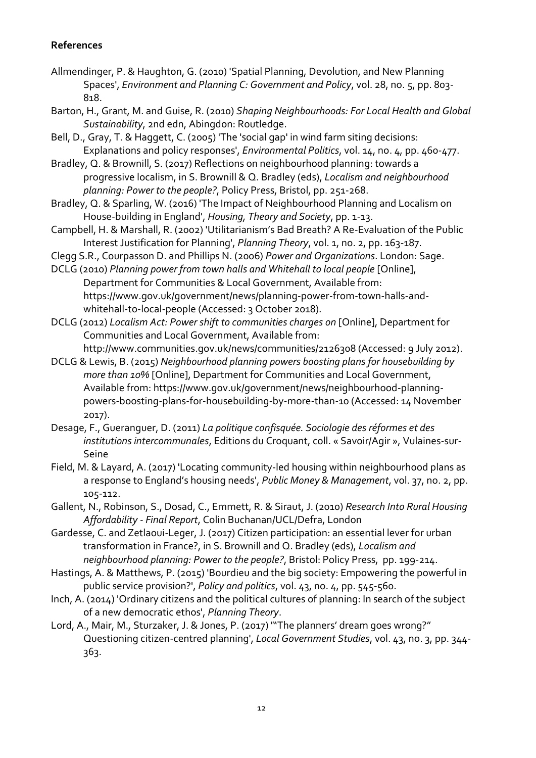#### **References**

- Allmendinger, P. & Haughton, G. (2010) 'Spatial Planning, Devolution, and New Planning Spaces', *Environment and Planning C: Government and Policy*, vol. 28, no. 5, pp. 803- 818.
- Barton, H., Grant, M. and Guise, R. (2010) *Shaping Neighbourhoods: For Local Health and Global Sustainability*, 2nd edn, Abingdon: Routledge.
- Bell, D., Gray, T. & Haggett, C. (2005) 'The 'social gap' in wind farm siting decisions: Explanations and policy responses', *Environmental Politics*, vol. 14, no. 4, pp. 460-477.
- Bradley, Q. & Brownill, S. (2017) Reflections on neighbourhood planning: towards a progressive localism, in S. Brownill & Q. Bradley (eds), *Localism and neighbourhood planning: Power to the people?*, Policy Press, Bristol, pp. 251-268.
- Bradley, Q. & Sparling, W. (2016) 'The Impact of Neighbourhood Planning and Localism on House-building in England', *Housing, Theory and Society*, pp. 1-13.
- Campbell, H. & Marshall, R. (2002) 'Utilitarianism's Bad Breath? A Re-Evaluation of the Public Interest Justification for Planning', *Planning Theory*, vol. 1, no. 2, pp. 163-187.
- Clegg S.R., Courpasson D. and Phillips N. (2006) *Power and Organizations*. London: Sage.
- DCLG (2010) *Planning power from town halls and Whitehall to local people* [Online], Department for Communities & Local Government, Available from: https://www.gov.uk/government/news/planning-power-from-town-halls-andwhitehall-to-local-people (Accessed: 3 October 2018).
- DCLG (2012) *Localism Act: Power shift to communities charges on* [Online], Department for Communities and Local Government, Available from: http://www.communities.gov.uk/news/communities/2126308 (Accessed: 9 July 2012).
- DCLG & Lewis, B. (2015) *Neighbourhood planning powers boosting plans for housebuilding by more than 10%* [Online], Department for Communities and Local Government, Available from: https://www.gov.uk/government/news/neighbourhood-planningpowers-boosting-plans-for-housebuilding-by-more-than-10 (Accessed: 14 November 2017).
- Desage, F., Gueranguer, D. (2011) *La politique confisquée. Sociologie des réformes et des institutions intercommunales*, Editions du Croquant, coll. « Savoir/Agir », Vulaines-sur-Seine
- Field, M. & Layard, A. (2017) 'Locating community-led housing within neighbourhood plans as a response to England's housing needs', *Public Money & Management*, vol. 37, no. 2, pp. 105-112.
- Gallent, N., Robinson, S., Dosad, C., Emmett, R. & Siraut, J. (2010) *Research Into Rural Housing Affordability - Final Report*, Colin Buchanan/UCL/Defra, London
- Gardesse, C. and Zetlaoui-Leger, J. (2017) Citizen participation: an essential lever for urban transformation in France?, in S. Brownill and Q. Bradley (eds), *Localism and neighbourhood planning: Power to the people?*, Bristol: Policy Press, pp. 199-214.
- Hastings, A. & Matthews, P. (2015) 'Bourdieu and the big society: Empowering the powerful in public service provision?', *Policy and politics*, vol. 43, no. 4, pp. 545-560.
- Inch, A. (2014) 'Ordinary citizens and the political cultures of planning: In search of the subject of a new democratic ethos', *Planning Theory*.
- Lord, A., Mair, M., Sturzaker, J. & Jones, P. (2017) '"The planners' dream goes wrong?" Questioning citizen-centred planning', *Local Government Studies*, vol. 43, no. 3, pp. 344- 363.